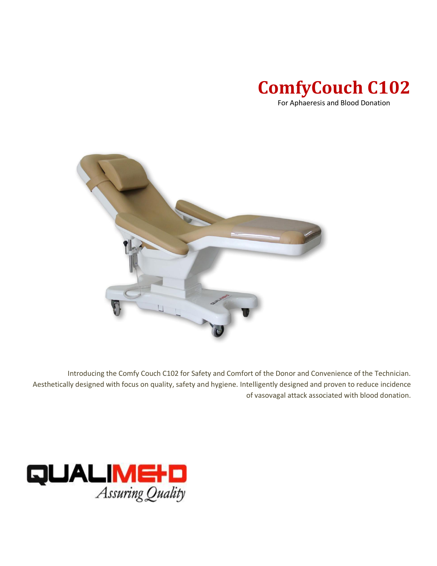

For Aphaeresis and Blood Donation



Introducing the Comfy Couch C102 for Safety and Comfort of the Donor and Convenience of the Technician. Aesthetically designed with focus on quality, safety and hygiene. Intelligently designed and proven to reduce incidence of vasovagal attack associated with blood donation.

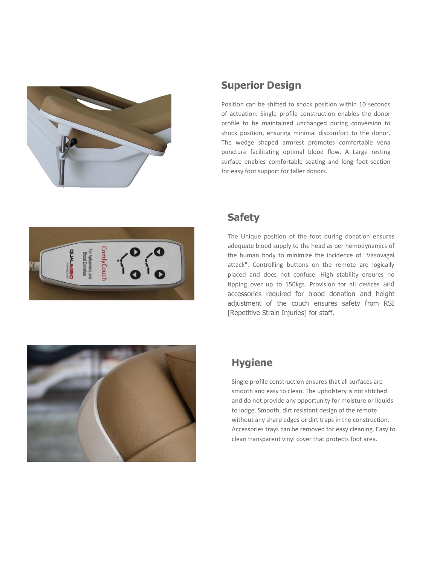

## **Superior Design**

Position can be shifted to shock position within 10 seconds of actuation. Single profile construction enables the donor profile to be maintained unchanged during conversion to shock position, ensuring minimal discomfort to the donor. The wedge shaped armrest promotes comfortable vena puncture facilitating optimal blood flow. A Large resting surface enables comfortable seating and long foot section for easy foot support for taller donors.



### **Safety**

The Unique position of the foot during donation ensures adequate blood supply to the head as per hemodynamics of the human body to minimize the incidence of "Vasovagal attack". Controlling buttons on the remote are logically placed and does not confuse. High stability ensures no tipping over up to 150kgs. Provision for all devices and accessories required for blood donation and height adjustment of the couch ensures safety from RSI [Repetitive Strain Injuries] for staff.



# **Hygiene**

Single profile construction ensures that all surfaces are smooth and easy to clean. The upholstery is not stitched and do not provide any opportunity for moisture or liquids to lodge. Smooth, dirt resistant design of the remote without any sharp edges or dirt traps in the construction. Accessories trays can be removed for easy cleaning. Easy to clean transparent vinyl cover that protects foot area.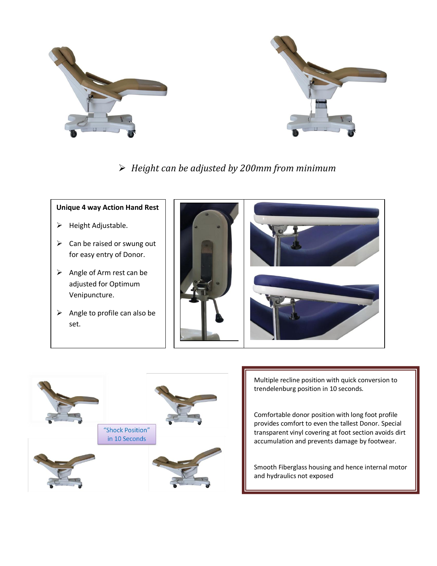

# *Height can be adjusted by 200mm from minimum*

#### **Unique 4 way Action Hand Rest**

- $\triangleright$  Height Adjustable.
- $\triangleright$  Can be raised or swung out for easy entry of Donor.
- $\triangleright$  Angle of Arm rest can be adjusted for Optimum Venipuncture.
- $\triangleright$  Angle to profile can also be set.





Multiple recline position with quick conversion to trendelenburg position in 10 seconds.

Comfortable donor position with long foot profile provides comfort to even the tallest Donor. Special transparent vinyl covering at foot section avoids dirt accumulation and prevents damage by footwear.

Smooth Fiberglass housing and hence internal motor and hydraulics not exposed